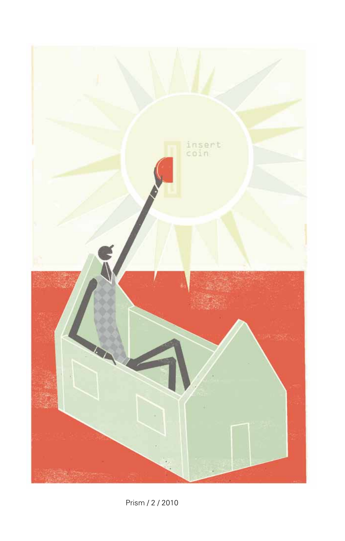

Prism / 2 / 2010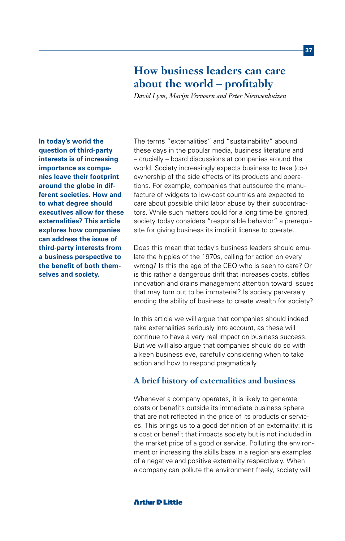# **How business leaders can care about the world – profitably**

*David Lyon, Marijn Vervoorn and Peter Nieuwenhuizen* 

**In today's world the question of third-party interests is of increasing importance as companies leave their footprint around the globe in different societies. How and to what degree should executives allow for these externalities? This article explores how companies can address the issue of third-party interests from a business perspective to the benefit of both themselves and society.**

The terms "externalities" and "sustainability" abound these days in the popular media, business literature and – crucially – board discussions at companies around the world. Society increasingly expects business to take (co-) ownership of the side effects of its products and operations. For example, companies that outsource the manufacture of widgets to low-cost countries are expected to care about possible child labor abuse by their subcontractors. While such matters could for a long time be ignored, society today considers "responsible behavior" a prerequisite for giving business its implicit license to operate.

Does this mean that today's business leaders should emulate the hippies of the 1970s, calling for action on every wrong? Is this the age of the CEO who is seen to care? Or is this rather a dangerous drift that increases costs, stifles innovation and drains management attention toward issues that may turn out to be immaterial? Is society perversely eroding the ability of business to create wealth for society?

In this article we will argue that companies should indeed take externalities seriously into account, as these will continue to have a very real impact on business success. But we will also argue that companies should do so with a keen business eye, carefully considering when to take action and how to respond pragmatically.

# **A brief history of externalities and business**

Whenever a company operates, it is likely to generate costs or benefits outside its immediate business sphere that are not reflected in the price of its products or services. This brings us to a good definition of an externality: it is a cost or benefit that impacts society but is not included in the market price of a good or service. Polluting the environment or increasing the skills base in a region are examples of a negative and positive externality respectively. When a company can pollute the environment freely, society will

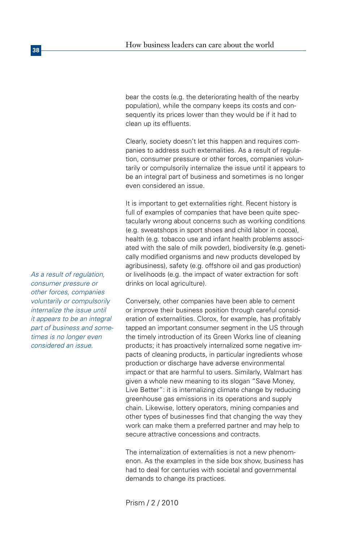bear the costs (e.g. the deteriorating health of the nearby population), while the company keeps its costs and consequently its prices lower than they would be if it had to clean up its effluents.

Clearly, society doesn't let this happen and requires companies to address such externalities. As a result of regulation, consumer pressure or other forces, companies voluntarily or compulsorily internalize the issue until it appears to be an integral part of business and sometimes is no longer even considered an issue.

It is important to get externalities right. Recent history is full of examples of companies that have been quite spectacularly wrong about concerns such as working conditions (e.g. sweatshops in sport shoes and child labor in cocoa), health (e.g. tobacco use and infant health problems associated with the sale of milk powder), biodiversity (e.g. genetically modified organisms and new products developed by agribusiness), safety (e.g. offshore oil and gas production) or livelihoods (e.g. the impact of water extraction for soft drinks on local agriculture).

Conversely, other companies have been able to cement or improve their business position through careful consideration of externalities. Clorox, for example, has profitably tapped an important consumer segment in the US through the timely introduction of its Green Works line of cleaning products; it has proactively internalized some negative impacts of cleaning products, in particular ingredients whose production or discharge have adverse environmental impact or that are harmful to users. Similarly, Walmart has given a whole new meaning to its slogan "Save Money, Live Better": it is internalizing climate change by reducing greenhouse gas emissions in its operations and supply chain. Likewise, lottery operators, mining companies and other types of businesses find that changing the way they work can make them a preferred partner and may help to secure attractive concessions and contracts.

The internalization of externalities is not a new phenomenon. As the examples in the side box show, business has had to deal for centuries with societal and governmental demands to change its practices.

*As a result of regulation, consumer pressure or other forces, companies voluntarily or compulsorily internalize the issue until it appears to be an integral part of business and sometimes is no longer even considered an issue.*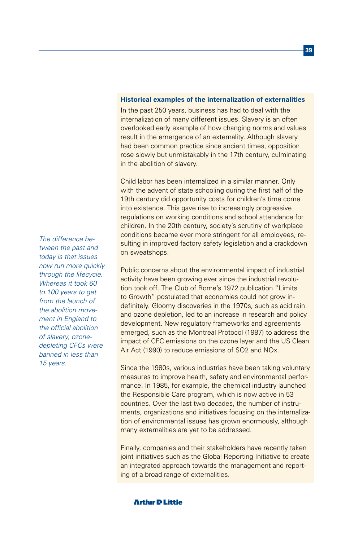#### **Historical examples of the internalization of externalities**

In the past 250 years, business has had to deal with the internalization of many different issues. Slavery is an often overlooked early example of how changing norms and values result in the emergence of an externality. Although slavery had been common practice since ancient times, opposition rose slowly but unmistakably in the 17th century, culminating in the abolition of slavery.

Child labor has been internalized in a similar manner. Only with the advent of state schooling during the first half of the 19th century did opportunity costs for children's time come into existence. This gave rise to increasingly progressive regulations on working conditions and school attendance for children. In the 20th century, society's scrutiny of workplace conditions became ever more stringent for all employees, resulting in improved factory safety legislation and a crackdown on sweatshops.

Public concerns about the environmental impact of industrial activity have been growing ever since the industrial revolution took off. The Club of Rome's 1972 publication "Limits to Growth" postulated that economies could not grow indefinitely. Gloomy discoveries in the 1970s, such as acid rain and ozone depletion, led to an increase in research and policy development. New regulatory frameworks and agreements emerged, such as the Montreal Protocol (1987) to address the impact of CFC emissions on the ozone layer and the US Clean Air Act (1990) to reduce emissions of SO2 and NOx.

Since the 1980s, various industries have been taking voluntary measures to improve health, safety and environmental performance. In 1985, for example, the chemical industry launched the Responsible Care program, which is now active in 53 countries. Over the last two decades, the number of instruments, organizations and initiatives focusing on the internalization of environmental issues has grown enormously, although many externalities are yet to be addressed.

Finally, companies and their stakeholders have recently taken joint initiatives such as the Global Reporting Initiative to create an integrated approach towards the management and reporting of a broad range of externalities.

*The difference between the past and today is that issues now run more quickly through the lifecycle. Whereas it took 60 to 100 years to get from the launch of the abolition movement in England to the official abolition of slavery, ozonedepleting CFCs were banned in less than 15 years.*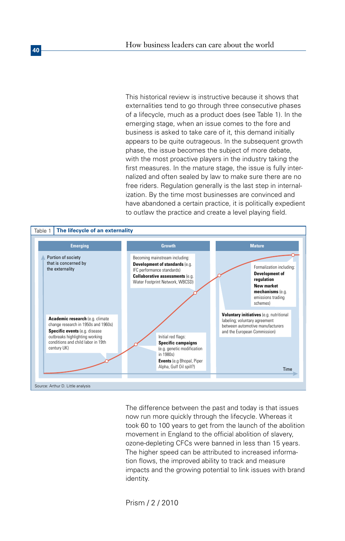This historical review is instructive because it shows that externalities tend to go through three consecutive phases of a lifecycle, much as a product does (see Table 1). In the emerging stage, when an issue comes to the fore and business is asked to take care of it, this demand initially appears to be quite outrageous. In the subsequent growth phase, the issue becomes the subject of more debate, with the most proactive players in the industry taking the first measures. In the mature stage, the issue is fully internalized and often sealed by law to make sure there are no free riders. Regulation generally is the last step in internalization. By the time most businesses are convinced and have abandoned a certain practice, it is politically expedient to outlaw the practice and create a level playing field.



The difference between the past and today is that issues now run more quickly through the lifecycle. Whereas it took 60 to 100 years to get from the launch of the abolition movement in England to the official abolition of slavery, ozone-depleting CFCs were banned in less than 15 years. The higher speed can be attributed to increased information flows, the improved ability to track and measure impacts and the growing potential to link issues with brand identity.

Prism / 2 / 2010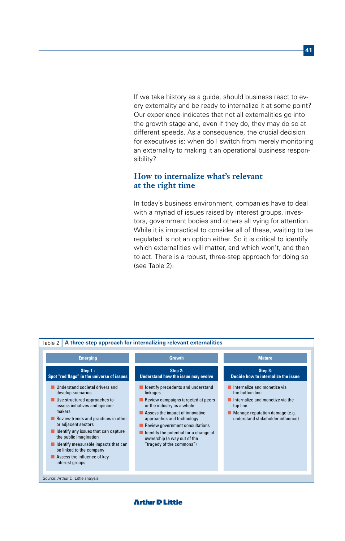If we take history as a guide, should business react to every externality and be ready to internalize it at some point? Our experience indicates that not all externalities go into the growth stage and, even if they do, they may do so at different speeds. As a consequence, the crucial decision for executives is: when do I switch from merely monitoring an externality to making it an operational business responsibility?

# **How to internalize what's relevant at the right time**

In today's business environment, companies have to deal with a myriad of issues raised by interest groups, investors, government bodies and others all vying for attention. While it is impractical to consider all of these, waiting to be regulated is not an option either. So it is critical to identify which externalities will matter, and which won't, and then to act. There is a robust, three-step approach for doing so (see Table 2).

| <b>Emerging</b>                                                                                                                                                                                                                                                                                                                                                                          |                                                                                                                                                                                                                                                                                                                             |                                                                                                                                                                        |
|------------------------------------------------------------------------------------------------------------------------------------------------------------------------------------------------------------------------------------------------------------------------------------------------------------------------------------------------------------------------------------------|-----------------------------------------------------------------------------------------------------------------------------------------------------------------------------------------------------------------------------------------------------------------------------------------------------------------------------|------------------------------------------------------------------------------------------------------------------------------------------------------------------------|
|                                                                                                                                                                                                                                                                                                                                                                                          | <b>Growth</b>                                                                                                                                                                                                                                                                                                               | <b>Mature</b>                                                                                                                                                          |
| Step 1:<br>Spot "red flags" in the universe of issues                                                                                                                                                                                                                                                                                                                                    | Step 2:<br>Understand how the issue may evolve                                                                                                                                                                                                                                                                              | Step 3:<br>Decide how to internalize the issue                                                                                                                         |
| Understand societal drivers and<br>develop scenarios<br>Use structured approaches to<br>assess initiatives and opinion-<br>makers<br>Review trends and practices in other<br>or adjacent sectors<br>Identify any issues that can capture<br>the public imagination<br>Identify measurable impacts that can<br>be linked to the company<br>Assess the influence of key<br>interest groups | Identify precedents and understand<br>linkages<br>Review campaigns targeted at peers<br>or the industry as a whole<br>Assess the impact of innovative<br>approaches and technology<br>Review government consultations<br>Identify the potential for a change of<br>ownership (a way out of the<br>"tragedy of the commons") | Internalize and monetize via<br>the hottom line<br>Internalize and monetize via the<br>top line<br>Manage reputation damage (e.g.<br>understand stakeholder influence) |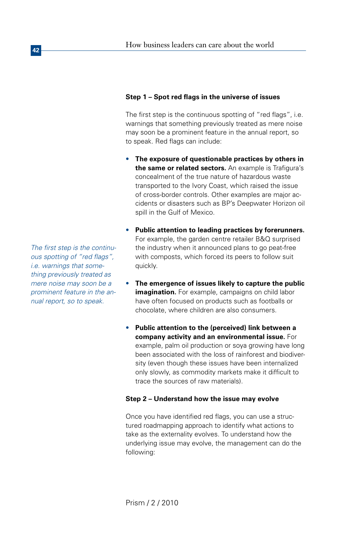# **Step 1 – Spot red flags in the universe of issues**

The first step is the continuous spotting of "red flags", i.e. warnings that something previously treated as mere noise may soon be a prominent feature in the annual report, so to speak. Red flags can include:

- **The exposure of questionable practices by others in the same or related sectors.** An example is Trafigura's concealment of the true nature of hazardous waste transported to the Ivory Coast, which raised the issue of cross-border controls. Other examples are major accidents or disasters such as BP's Deepwater Horizon oil spill in the Gulf of Mexico.
- **Public attention to leading practices by forerunners.** For example, the garden centre retailer B&Q surprised the industry when it announced plans to go peat-free with composts, which forced its peers to follow suit quickly.
- **The emergence of issues likely to capture the public imagination.** For example, campaigns on child labor have often focused on products such as footballs or chocolate, where children are also consumers.
- **Public attention to the (perceived) link between a company activity and an environmental issue.** For example, palm oil production or soya growing have long been associated with the loss of rainforest and biodiversity (even though these issues have been internalized only slowly, as commodity markets make it difficult to trace the sources of raw materials).

## **Step 2 – Understand how the issue may evolve**

Once you have identified red flags, you can use a structured roadmapping approach to identify what actions to take as the externality evolves. To understand how the underlying issue may evolve, the management can do the following:

*The first step is the continuous spotting of "red flags", i.e. warnings that something previously treated as mere noise may soon be a prominent feature in the annual report, so to speak.*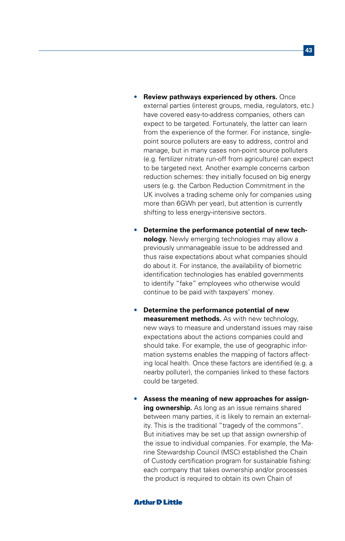- **Review pathways experienced by others.** Once external parties (interest groups, media, regulators, etc.) have covered easy-to-address companies, others can expect to be targeted. Fortunately, the latter can learn from the experience of the former. For instance, singlepoint source polluters are easy to address, control and manage, but in many cases non-point source polluters (e.g. fertilizer nitrate run-off from agriculture) can expect to be targeted next. Another example concerns carbon reduction schemes: they initially focused on big energy users (e.g. the Carbon Reduction Commitment in the UK involves a trading scheme only for companies using more than 6GWh per year), but attention is currently shifting to less energy-intensive sectors.
- **Determine the performance potential of new technology.** Newly emerging technologies may allow a previously unmanageable issue to be addressed and thus raise expectations about what companies should do about it. For instance, the availability of biometric identification technologies has enabled governments to identify "fake" employees who otherwise would continue to be paid with taxpayers' money.
- **Determine the performance potential of new measurement methods.** As with new technology, new ways to measure and understand issues may raise expectations about the actions companies could and should take. For example, the use of geographic information systems enables the mapping of factors affecting local health. Once these factors are identified (e.g. a nearby polluter), the companies linked to these factors could be targeted.
- **Assess the meaning of new approaches for assigning ownership.** As long as an issue remains shared between many parties, it is likely to remain an externality. This is the traditional "tragedy of the commons". But initiatives may be set up that assign ownership of the issue to individual companies. For example, the Marine Stewardship Council (MSC) established the Chain of Custody certification program for sustainable fishing: each company that takes ownership and/or processes the product is required to obtain its own Chain of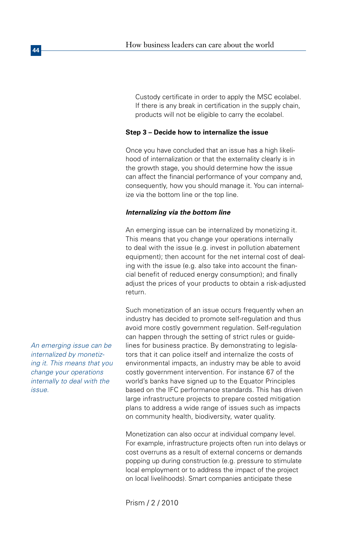Custody certificate in order to apply the MSC ecolabel. If there is any break in certification in the supply chain, products will not be eligible to carry the ecolabel.

## **Step 3 – Decide how to internalize the issue**

Once you have concluded that an issue has a high likelihood of internalization or that the externality clearly is in the growth stage, you should determine how the issue can affect the financial performance of your company and, consequently, how you should manage it. You can internalize via the bottom line or the top line.

## *Internalizing via the bottom line*

An emerging issue can be internalized by monetizing it. This means that you change your operations internally to deal with the issue (e.g. invest in pollution abatement equipment); then account for the net internal cost of dealing with the issue (e.g. also take into account the financial benefit of reduced energy consumption); and finally adjust the prices of your products to obtain a risk-adjusted return.

Such monetization of an issue occurs frequently when an industry has decided to promote self-regulation and thus avoid more costly government regulation. Self-regulation can happen through the setting of strict rules or guidelines for business practice. By demonstrating to legislators that it can police itself and internalize the costs of environmental impacts, an industry may be able to avoid costly government intervention. For instance 67 of the world's banks have signed up to the Equator Principles based on the IFC performance standards. This has driven large infrastructure projects to prepare costed mitigation plans to address a wide range of issues such as impacts on community health, biodiversity, water quality.

Monetization can also occur at individual company level. For example, infrastructure projects often run into delays or cost overruns as a result of external concerns or demands popping up during construction (e.g. pressure to stimulate local employment or to address the impact of the project on local livelihoods). Smart companies anticipate these

Prism / 2 / 2010

*An emerging issue can be internalized by monetizing it. This means that you change your operations internally to deal with the issue.* 

**44**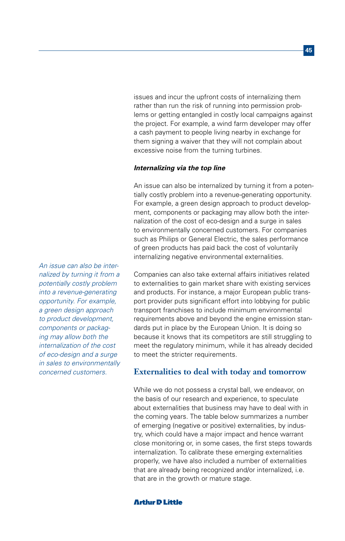issues and incur the upfront costs of internalizing them rather than run the risk of running into permission problems or getting entangled in costly local campaigns against the project. For example, a wind farm developer may offer a cash payment to people living nearby in exchange for them signing a waiver that they will not complain about excessive noise from the turning turbines.

#### *Internalizing via the top line*

An issue can also be internalized by turning it from a potentially costly problem into a revenue-generating opportunity. For example, a green design approach to product development, components or packaging may allow both the internalization of the cost of eco-design and a surge in sales to environmentally concerned customers. For companies such as Philips or General Electric, the sales performance of green products has paid back the cost of voluntarily internalizing negative environmental externalities.

Companies can also take external affairs initiatives related to externalities to gain market share with existing services and products. For instance, a major European public transport provider puts significant effort into lobbying for public transport franchises to include minimum environmental requirements above and beyond the engine emission standards put in place by the European Union. It is doing so because it knows that its competitors are still struggling to meet the regulatory minimum, while it has already decided to meet the stricter requirements.

## **Externalities to deal with today and tomorrow**

While we do not possess a crystal ball, we endeavor, on the basis of our research and experience, to speculate about externalities that business may have to deal with in the coming years. The table below summarizes a number of emerging (negative or positive) externalities, by industry, which could have a major impact and hence warrant close monitoring or, in some cases, the first steps towards internalization. To calibrate these emerging externalities properly, we have also included a number of externalities that are already being recognized and/or internalized, i.e. that are in the growth or mature stage.

*An issue can also be internalized by turning it from a potentially costly problem into a revenue-generating opportunity. For example, a green design approach to product development, components or packaging may allow both the internalization of the cost of eco-design and a surge in sales to environmentally concerned customers.*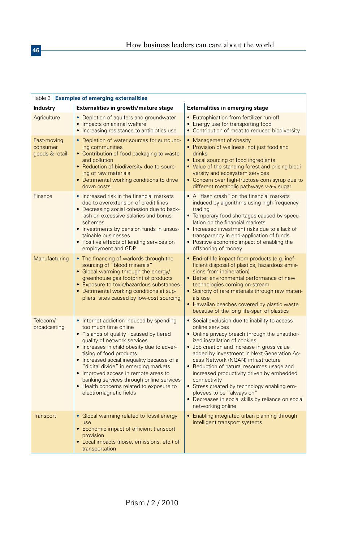| Table 3   Examples of emerging externalities |                                                                                                                                                                                                                                                                                                                                                                                                                                                                   |                                                                                                                                                                                                                                                                                                                                                                                                                                                                                                                                                       |  |  |
|----------------------------------------------|-------------------------------------------------------------------------------------------------------------------------------------------------------------------------------------------------------------------------------------------------------------------------------------------------------------------------------------------------------------------------------------------------------------------------------------------------------------------|-------------------------------------------------------------------------------------------------------------------------------------------------------------------------------------------------------------------------------------------------------------------------------------------------------------------------------------------------------------------------------------------------------------------------------------------------------------------------------------------------------------------------------------------------------|--|--|
| <b>Industry</b>                              | Externalities in growth/mature stage                                                                                                                                                                                                                                                                                                                                                                                                                              | <b>Externalities in emerging stage</b>                                                                                                                                                                                                                                                                                                                                                                                                                                                                                                                |  |  |
| Agriculture                                  | • Depletion of aquifers and groundwater<br>Impacts on animal welfare<br>Increasing resistance to antibiotics use                                                                                                                                                                                                                                                                                                                                                  | • Eutrophication from fertilizer run-off<br>• Energy use for transporting food<br>• Contribution of meat to reduced biodiversity                                                                                                                                                                                                                                                                                                                                                                                                                      |  |  |
| Fast-moving<br>consumer<br>goods & retail    | Depletion of water sources for surround-<br>ing communities<br>• Contribution of food packaging to waste<br>and pollution<br>• Reduction of biodiversity due to sourc-<br>ing of raw materials<br>• Detrimental working conditions to drive<br>down costs                                                                                                                                                                                                         | • Management of obesity<br>• Provision of wellness, not just food and<br>drinks<br>• Local sourcing of food ingredients<br>• Value of the standing forest and pricing biodi-<br>versity and ecosystem services<br>• Concern over high-fructose corn syrup due to<br>different metabolic pathways v-a-v sugar                                                                                                                                                                                                                                          |  |  |
| Finance                                      | • Increased risk in the financial markets<br>due to overextension of credit lines<br>• Decreasing social cohesion due to back-<br>lash on excessive salaries and bonus<br>schemes<br>• Investments by pension funds in unsus-<br>tainable businesses<br>• Positive effects of lending services on<br>employment and GDP                                                                                                                                           | • A "flash crash" on the financial markets<br>induced by algorithms using high-frequency<br>trading<br>• Temporary food shortages caused by specu-<br>lation on the financial markets<br>• Increased investment risks due to a lack of<br>transparency in end-application of funds<br>• Positive economic impact of enabling the<br>offshoring of money                                                                                                                                                                                               |  |  |
| Manufacturing                                | • The financing of warlords through the<br>sourcing of "blood minerals"<br>• Global warming through the energy/<br>greenhouse gas footprint of products<br>Exposure to toxic/hazardous substances<br>Detrimental working conditions at sup-<br>pliers' sites caused by low-cost sourcing                                                                                                                                                                          | • End-of-life impact from products (e.g. inef-<br>ficient disposal of plastics, hazardous emis-<br>sions from incineration)<br>• Better environmental performance of new<br>technologies coming on-stream<br>• Scarcity of rare materials through raw materi-<br>als use<br>• Hawaiian beaches covered by plastic waste<br>because of the long life-span of plastics                                                                                                                                                                                  |  |  |
| Telecom/<br>broadcasting                     | Internet addiction induced by spending<br>too much time online<br>· "Islands of quality" caused by tiered<br>quality of network services<br>• Increases in child obesity due to adver-<br>tising of food products<br>• Increased social inequality because of a<br>"digital divide" in emerging markets<br>• Improved access in remote areas to<br>banking services through online services<br>• Health concerns related to exposure to<br>electromagnetic fields | • Social exclusion due to inability to access<br>online services<br>• Online privacy breach through the unauthor-<br>ized installation of cookies<br>• Job creation and increase in gross value<br>added by investment in Next Generation Ac-<br>cess Network (NGAN) infrastructure<br>• Reduction of natural resources usage and<br>increased productivity driven by embedded<br>connectivity<br>• Stress created by technology enabling em-<br>ployees to be "always on"<br>• Decreases in social skills by reliance on social<br>networking online |  |  |
| Transport                                    | Global warming related to fossil energy<br>use<br>• Economic impact of efficient transport<br>provision<br>• Local impacts (noise, emissions, etc.) of<br>transportation                                                                                                                                                                                                                                                                                          | Enabling integrated urban planning through<br>intelligent transport systems                                                                                                                                                                                                                                                                                                                                                                                                                                                                           |  |  |

**46**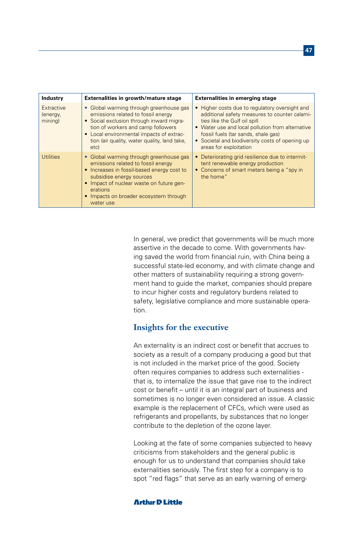| <b>Industry</b>                   | Externalities in growth/mature stage                                                                                                                                                                                                                                | <b>Externalities in emerging stage</b>                                                                                                                                                                                                                                                                  |  |  |
|-----------------------------------|---------------------------------------------------------------------------------------------------------------------------------------------------------------------------------------------------------------------------------------------------------------------|---------------------------------------------------------------------------------------------------------------------------------------------------------------------------------------------------------------------------------------------------------------------------------------------------------|--|--|
| Extractive<br>(energy,<br>mining) | • Global warming through greenhouse gas<br>emissions related to fossil energy<br>• Social exclusion through inward migra-<br>tion of workers and camp followers<br>• Local environmental impacts of extrac-<br>tion (air quality, water quality, land take,<br>etc) | • Higher costs due to regulatory oversight and<br>additional safety measures to counter calami-<br>ties like the Gulf oil spill<br>• Water use and local pollution from alternative<br>fossil fuels (tar sands, shale gas)<br>• Societal and biodiversity costs of opening up<br>areas for exploitation |  |  |
| <b>Utilities</b>                  | • Global warming through greenhouse gas<br>emissions related to fossil energy<br>• Increases in fossil-based energy cost to<br>subsidise energy sources<br>Impact of nuclear waste on future gen-<br>erations<br>Impacts on broader ecosystem through<br>water use  | • Deteriorating grid resilience due to intermit-<br>tent renewable energy production<br>• Concerns of smart meters being a "spy in<br>the home"                                                                                                                                                         |  |  |

In general, we predict that governments will be much more assertive in the decade to come. With governments having saved the world from financial ruin, with China being a successful state-led economy, and with climate change and other matters of sustainability requiring a strong government hand to guide the market, companies should prepare to incur higher costs and regulatory burdens related to safety, legislative compliance and more sustainable operation.

# **Insights for the executive**

An externality is an indirect cost or benefit that accrues to society as a result of a company producing a good but that is not included in the market price of the good. Society often requires companies to address such externalities that is, to internalize the issue that gave rise to the indirect cost or benefit – until it is an integral part of business and sometimes is no longer even considered an issue. A classic example is the replacement of CFCs, which were used as refrigerants and propellants, by substances that no longer contribute to the depletion of the ozone layer.

Looking at the fate of some companies subjected to heavy criticisms from stakeholders and the general public is enough for us to understand that companies should take externalities seriously. The first step for a company is to spot "red flags" that serve as an early warning of emerg-

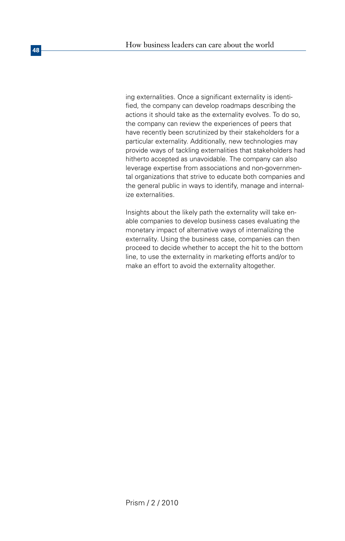ing externalities. Once a significant externality is identified, the company can develop roadmaps describing the actions it should take as the externality evolves. To do so, the company can review the experiences of peers that have recently been scrutinized by their stakeholders for a particular externality. Additionally, new technologies may provide ways of tackling externalities that stakeholders had hitherto accepted as unavoidable. The company can also leverage expertise from associations and non-governmental organizations that strive to educate both companies and the general public in ways to identify, manage and internalize externalities.

Insights about the likely path the externality will take enable companies to develop business cases evaluating the monetary impact of alternative ways of internalizing the externality. Using the business case, companies can then proceed to decide whether to accept the hit to the bottom line, to use the externality in marketing efforts and/or to make an effort to avoid the externality altogether.